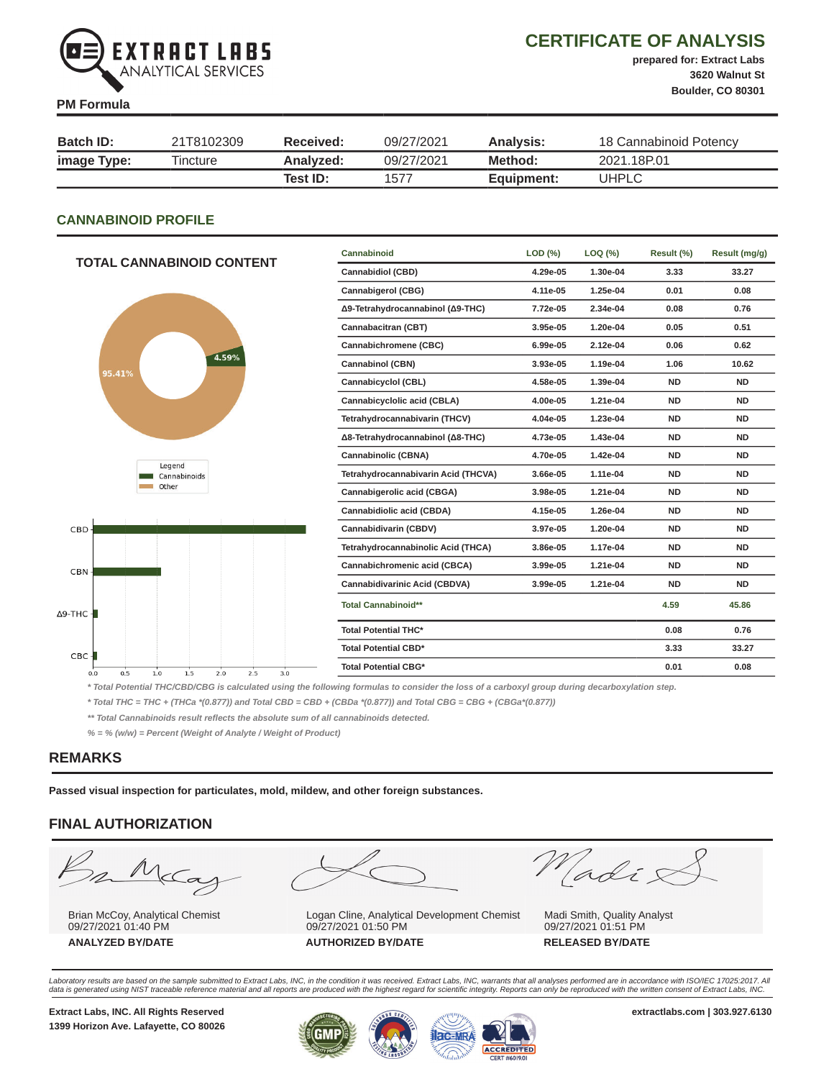

# CERTIFICATE OF ANALYSIS

prepared for: Extract Labs

#### PM Formula

3620 Walnut St Boulder, CO 80301

| <b>Batch ID:</b> | 21T8102309 | Received: | 09/27/2021 | Analysis:  | 18 Cannabinoid Potency |
|------------------|------------|-----------|------------|------------|------------------------|
| image Type:      | Tincture   | Analyzed: | 09/27/2021 | Method:    | 2021.18P.01            |
|                  |            | Test ID:  | 1577       | Equipment: | UHPLC                  |

#### CANNABINOID PROFILE

|                                               | Cannabinoid                         | LOD (%)  | LOQ (%)  |           | Result (mg/g) |
|-----------------------------------------------|-------------------------------------|----------|----------|-----------|---------------|
| <b>TOTAL CANNABINOID CONTENT</b>              | <b>Cannabidiol (CBD)</b>            | 4.29e-05 | 1.30e-04 | 3.33      | 33.27         |
|                                               | Cannabigerol (CBG)                  | 4.11e-05 | 1.25e-04 | 0.01      | 0.08          |
|                                               | Δ9-Tetrahydrocannabinol (Δ9-THC)    | 7.72e-05 | 2.34e-04 | 0.08      | 0.76          |
|                                               | Cannabacitran (CBT)                 | 3.95e-05 | 1.20e-04 | 0.05      | 0.51          |
|                                               | Cannabichromene (CBC)               | 6.99e-05 | 2.12e-04 | 0.06      | 0.62          |
| 4.59%<br>95.41%                               | Cannabinol (CBN)                    | 3.93e-05 | 1.19e-04 | 1.06      | 10.62         |
|                                               | Cannabicyclol (CBL)                 | 4.58e-05 | 1.39e-04 | <b>ND</b> | <b>ND</b>     |
|                                               | Cannabicyclolic acid (CBLA)         | 4.00e-05 | 1.21e-04 | <b>ND</b> | <b>ND</b>     |
|                                               | Tetrahydrocannabivarin (THCV)       |          | 1.23e-04 | <b>ND</b> | <b>ND</b>     |
|                                               | Δ8-Tetrahydrocannabinol (Δ8-THC)    | 4.73e-05 | 1.43e-04 | <b>ND</b> | <b>ND</b>     |
|                                               | <b>Cannabinolic (CBNA)</b>          | 4.70e-05 | 1.42e-04 | <b>ND</b> | <b>ND</b>     |
| Legend<br>Cannabinoids                        | Tetrahydrocannabivarin Acid (THCVA) | 3.66e-05 | 1.11e-04 | <b>ND</b> | <b>ND</b>     |
| Other                                         | Cannabigerolic acid (CBGA)          | 3.98e-05 | 1.21e-04 | <b>ND</b> | <b>ND</b>     |
|                                               | Cannabidiolic acid (CBDA)           | 4.15e-05 | 1.26e-04 | <b>ND</b> | <b>ND</b>     |
| CBD-                                          | Cannabidivarin (CBDV)               | 3.97e-05 | 1.20e-04 | <b>ND</b> | <b>ND</b>     |
|                                               | Tetrahydrocannabinolic Acid (THCA)  | 3.86e-05 | 1.17e-04 | <b>ND</b> | <b>ND</b>     |
| CBN-                                          | Cannabichromenic acid (CBCA)        | 3.99e-05 | 1.21e-04 | <b>ND</b> | <b>ND</b>     |
|                                               | Cannabidivarinic Acid (CBDVA)       | 3.99e-05 | 1.21e-04 | <b>ND</b> | <b>ND</b>     |
| -THC $\blacksquare$                           | <b>Total Cannabinoid**</b>          |          |          | 4.59      | 45.86         |
|                                               | <b>Total Potential THC*</b>         |          |          | 0.08      | 0.76          |
| CBC                                           | <b>Total Potential CBD*</b>         |          |          | 3.33      | 33.27         |
| 0.0<br>0.5<br>1.0<br>1.5<br>2.0<br>2.5<br>3.0 | <b>Total Potential CBG*</b>         |          |          | 0.01      | 0.08          |

\* Total Potential THC/CBD/CBG is calculated using the following formulas to consider the loss of a carboxyl group during decarboxylation step.

\* Total THC = THC + (THCa \*(0.877)) and Total CBD = CBD + (CBDa \*(0.877)) and Total CBG = CBG + (CBGa\*(0.877))

\*\* Total Cannabinoids result reflects the absolute sum of all cannabinoids detected.

% = % (w/w) = Percent (Weight of Analyte / Weight of Product)

## REMARKS

 $\Delta$ 9-TI

Passed visual inspection for particulates, mold, mildew, and other foreign substances.

## FINAL AUTHORIZATION

m N  $\subset \hspace{-0.12cm} \subset$ a

Brian McCoy, Analytical Chemist 09/27/2021 01:40 PM



Logan Cline, Analytical Development Chemist 09/27/2021 01:50 PM ANALYZED BY/DATE AUTHORIZED BY/DATE RELEASED BY/DATE

Madis

Madi Smith, Quality Analyst 09/27/2021 01:51 PM

Laboratory results are based on the sample submitted to Extract Labs, INC, in the condition it was received. Extract Labs, INC, warrants that all analyses performed are in accordance with ISO/IEC 17025:2017. All<br>data is ge

1399 Horizon Ave. Lafayette, CO 80026

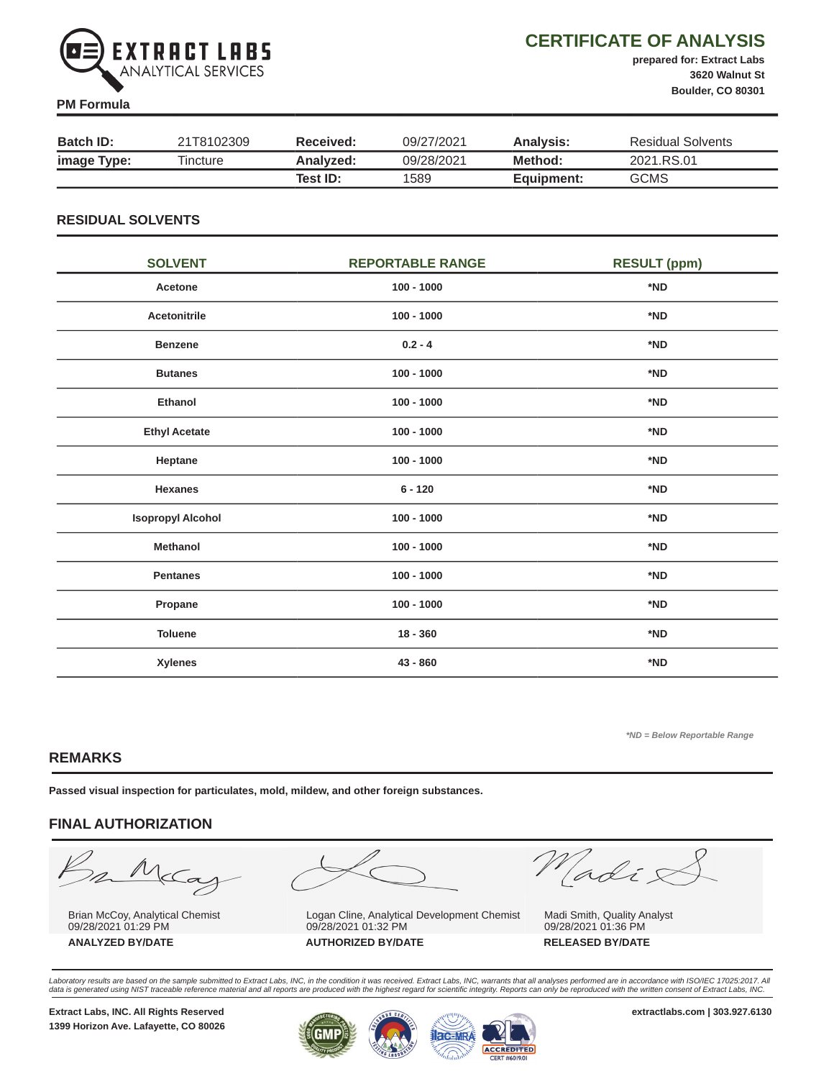

# CERTIFICATE OF ANALYSIS

prepared for: Extract Labs 3620 Walnut St Boulder, CO 80301

#### PM Formula

| <b>Batch ID:</b> | 21T8102309 | <b>Received:</b> | 09/27/2021 | Analysis:  | Residual Solvents |
|------------------|------------|------------------|------------|------------|-------------------|
| image Type:      | Tincture   | Analyzed:        | 09/28/2021 | Method:    | 2021.RS.01        |
|                  |            | Test ID:         | 1589       | Equipment: | <b>GCMS</b>       |

## RESIDUAL SOLVENTS

| <b>SOLVENT</b>           | <b>REPORTABLE RANGE</b> | <b>RESULT (ppm)</b> |
|--------------------------|-------------------------|---------------------|
| Acetone                  | $100 - 1000$            | *ND                 |
| <b>Acetonitrile</b>      | $100 - 1000$            | *ND                 |
| <b>Benzene</b>           | $0.2 - 4$               | *ND                 |
| <b>Butanes</b>           | $100 - 1000$            | *ND                 |
| Ethanol                  | $100 - 1000$            | *ND                 |
| <b>Ethyl Acetate</b>     | $100 - 1000$            | *ND                 |
| Heptane                  | $100 - 1000$            | *ND                 |
| <b>Hexanes</b>           | $6 - 120$               | *ND                 |
| <b>Isopropyl Alcohol</b> | $100 - 1000$            | *ND                 |
| <b>Methanol</b>          | $100 - 1000$            | *ND                 |
| <b>Pentanes</b>          | $100 - 1000$            | *ND                 |
| Propane                  | $100 - 1000$            | *ND                 |
| <b>Toluene</b>           | $18 - 360$              | *ND                 |
| Xylenes                  | 43 - 860                | *ND                 |

\*ND = Below Reportable Range

## REMARKS

Passed visual inspection for particulates, mold, mildew, and other foreign substances.

# FINAL AUTHORIZATION

 $\frac{1}{2}$  $\subset \hspace{-0.5ex}\subset$ a

Brian McCoy, Analytical Chemist 09/28/2021 01:29 PM



Logan Cline, Analytical Development Chemist 09/28/2021 01:32 PM ANALYZED BY/DATE AUTHORIZED BY/DATE RELEASED BY/DATE

Madix

Madi Smith, Quality Analyst 09/28/2021 01:36 PM

Laboratory results are based on the sample submitted to Extract Labs, INC, in the condition it was received. Extract Labs, INC, warrants that all analyses performed are in accordance with ISO/IEC 17025:2017. All<br>data is ge

1399 Horizon Ave. Lafayette, CO 80026

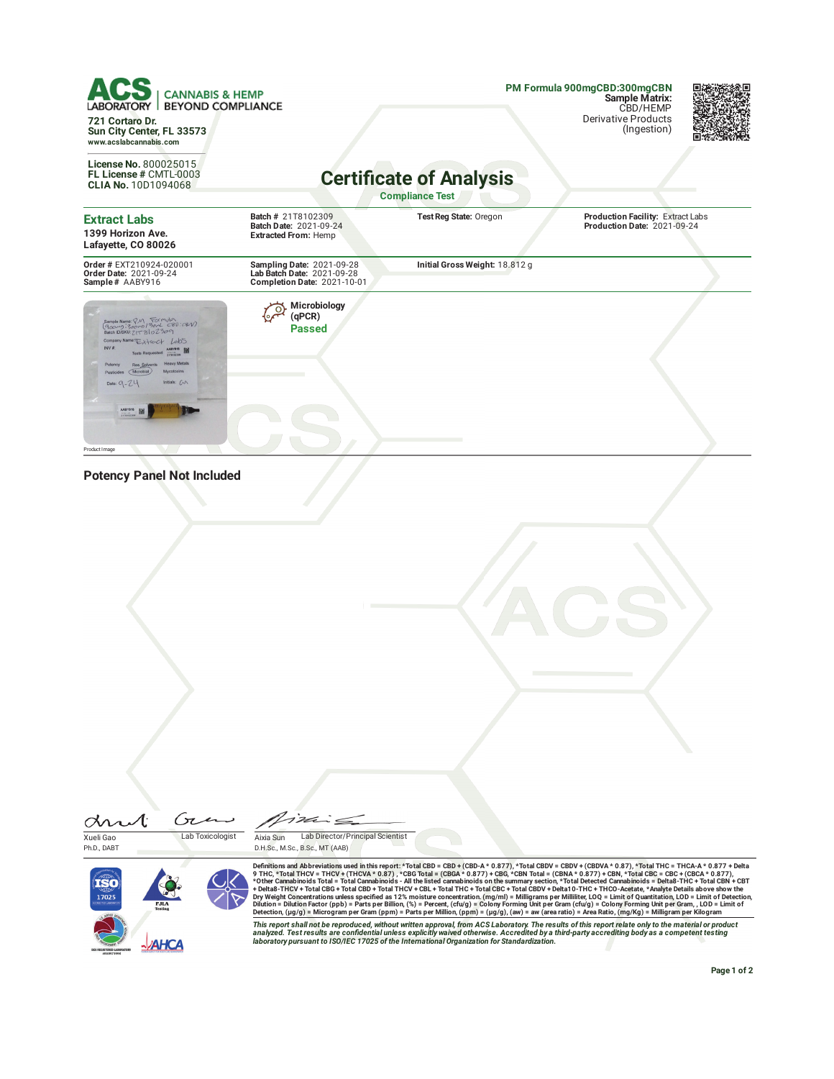| <b>CANNABIS &amp; HEMP</b><br><b>BEYOND COMPLIANCE</b><br>LABORATORY  <br>721 Cortaro Dr.                                                                                                                            |                                                                                              |                                                                                                                                                                                                                                                                                                                                                                                                                                                                                                                                                                                                                                                                                                                                                                                                                                                                                                                                                                                                                                                                                                                                                                                                                                                                                                                                                                                                                                                                                                                                                                                   | PM Formula 900mgCBD:300mgCBN<br><b>Sample Matrix:</b><br>CBD/HEMP<br><b>Derivative Products</b> |  |
|----------------------------------------------------------------------------------------------------------------------------------------------------------------------------------------------------------------------|----------------------------------------------------------------------------------------------|-----------------------------------------------------------------------------------------------------------------------------------------------------------------------------------------------------------------------------------------------------------------------------------------------------------------------------------------------------------------------------------------------------------------------------------------------------------------------------------------------------------------------------------------------------------------------------------------------------------------------------------------------------------------------------------------------------------------------------------------------------------------------------------------------------------------------------------------------------------------------------------------------------------------------------------------------------------------------------------------------------------------------------------------------------------------------------------------------------------------------------------------------------------------------------------------------------------------------------------------------------------------------------------------------------------------------------------------------------------------------------------------------------------------------------------------------------------------------------------------------------------------------------------------------------------------------------------|-------------------------------------------------------------------------------------------------|--|
| Sun City Center, FL 33573<br>www.acslabcannabis.com                                                                                                                                                                  |                                                                                              |                                                                                                                                                                                                                                                                                                                                                                                                                                                                                                                                                                                                                                                                                                                                                                                                                                                                                                                                                                                                                                                                                                                                                                                                                                                                                                                                                                                                                                                                                                                                                                                   | (Ingestion)                                                                                     |  |
| License No. 800025015<br>FL License # CMTL-0003<br><b>CLIA No. 10D1094068</b>                                                                                                                                        |                                                                                              | <b>Certificate of Analysis</b><br><b>Compliance Test</b>                                                                                                                                                                                                                                                                                                                                                                                                                                                                                                                                                                                                                                                                                                                                                                                                                                                                                                                                                                                                                                                                                                                                                                                                                                                                                                                                                                                                                                                                                                                          |                                                                                                 |  |
| <b>Extract Labs</b><br>1399 Horizon Ave.<br>Lafayette, CO 80026                                                                                                                                                      | Batch # 21T8102309<br>Batch Date: 2021-09-24<br><b>Extracted From: Hemp</b>                  | Test Reg State: Oregon                                                                                                                                                                                                                                                                                                                                                                                                                                                                                                                                                                                                                                                                                                                                                                                                                                                                                                                                                                                                                                                                                                                                                                                                                                                                                                                                                                                                                                                                                                                                                            | Production Facility: Extract Labs<br>Production Date: 2021-09-24                                |  |
| Order # EXT210924-020001<br>Order Date: 2021-09-24<br>Sample# AABY916                                                                                                                                                | Sampling Date: 2021-09-28<br>Lab Batch Date: 2021-09-28<br>Completion Date: 2021-10-01       | Initial Gross Weight: 18.812 g                                                                                                                                                                                                                                                                                                                                                                                                                                                                                                                                                                                                                                                                                                                                                                                                                                                                                                                                                                                                                                                                                                                                                                                                                                                                                                                                                                                                                                                                                                                                                    |                                                                                                 |  |
| Sample Name: PM Formula<br>(900mg: 300mg/30nL CBD: CBV)<br>Batch ID/SKU: ZIT 8102309<br>Company Name: Extract LabS<br>INV <sup>B</sup><br><b>Heavy Metals</b><br>Initials: C<br>Date: $9 - 74$<br>製<br>Product Image | Microbiology<br>(qPCR)<br>Passed                                                             |                                                                                                                                                                                                                                                                                                                                                                                                                                                                                                                                                                                                                                                                                                                                                                                                                                                                                                                                                                                                                                                                                                                                                                                                                                                                                                                                                                                                                                                                                                                                                                                   |                                                                                                 |  |
| <b>Potency Panel Not Included</b>                                                                                                                                                                                    |                                                                                              |                                                                                                                                                                                                                                                                                                                                                                                                                                                                                                                                                                                                                                                                                                                                                                                                                                                                                                                                                                                                                                                                                                                                                                                                                                                                                                                                                                                                                                                                                                                                                                                   |                                                                                                 |  |
| Gan<br>Lab Toxicologist<br>Xueli Gao<br>Ph.D., DABT<br>17025<br><b>AHCA</b>                                                                                                                                          | $i$ dina<br>Lab Director/Principal Scientist<br>Aixia Sun<br>D.H.Sc., M.Sc., B.Sc., MT (AAB) | Definitions and Abbreviations used in this report: *Total CBD = CBD + (CBD-A * 0.877), *Total CBDV = CBDV + (CBDVA * 0.87), *Total THC = THCA-A * 0.877 + Delta<br>9 THC, *Total THCV = THCV + (THCVA * 0.87), *CBG Total = (CBGA * 0.877) + CBG, *CBN Total = (CBNA * 0.877) + CBN, *Total CBC = CBC + (CBCA * 0.877),<br>*Other Cannabinoids Total = Total Cannabinoids - All the listed cannabinoids on the summary section, *Total Detected Cannabinoids = Delta8-THC + Total CBN + CBT<br>+ Delta8-THCV + Total CBG + Total CBD + Total THCV + CBL + Total THC + Total CBC + Total CBDV + Delta10-THC + THCO-Acetate, *Analyte Details above show the<br>Dry Weight Concentrations unless specified as 12% moisture concentration. (mg/ml) = Milligrams per Milliliter, LOQ = Limit of Quantitation, LOD = Limit of Detection,<br>Dilution = Dilution Factor (ppb) = Parts per Billion, (%) = Percent, (cfu/g) = Colony Forming Unit per Gram (cfu/g) = Colony Forming Unit per Gram, , LOD = Limit of<br>Detection, (µg/g) = Microgram per Gram (ppm) = Parts per Million, (ppm) = (µg/g), (aw) = aw (area ratio) = Area Ratio, (mg/Kg) = Milligram per Kilogram<br>This report shall not be reproduced, without written approval, from ACS Laboratory. The results of this report relate only to the material or product<br>analyzed. Test results are confidential unless explicitly waived otherwise. Accredited by a third-party accrediting body as a competent testing<br>laboratory pursuant to ISO/IEC 17025 of the International Organization for Standardization. |                                                                                                 |  |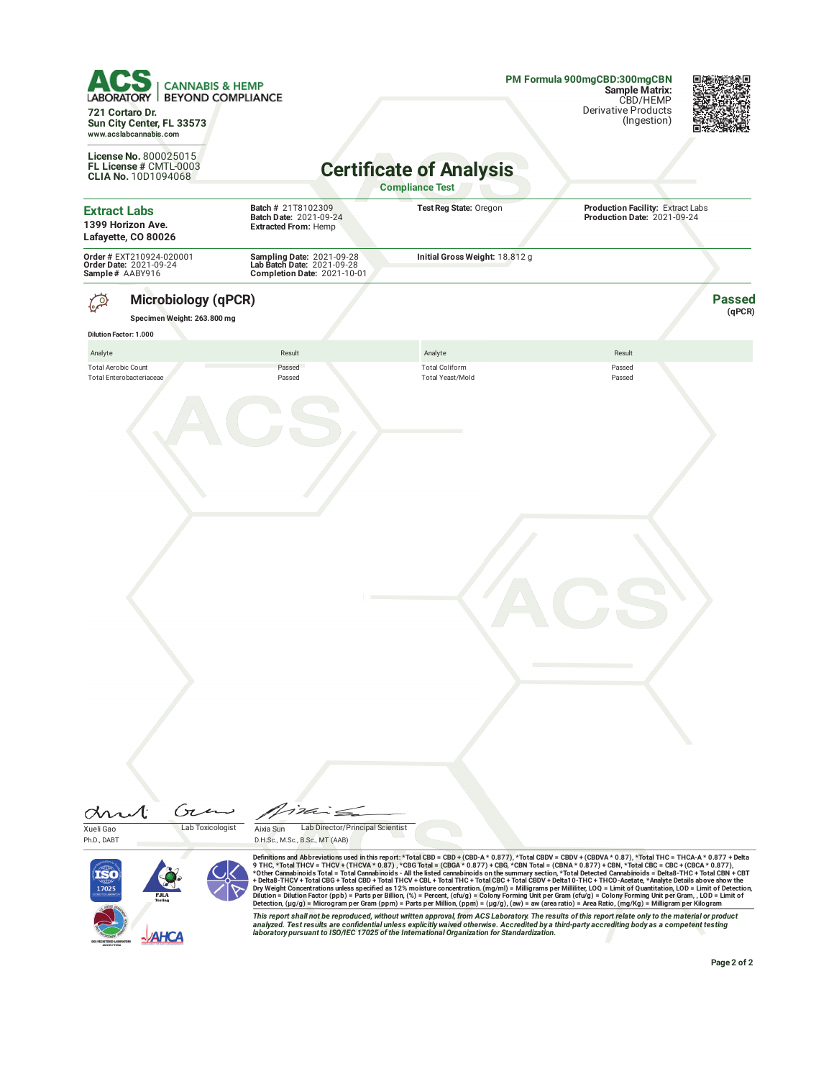| <b>CANNABIS &amp; HEMP</b><br><b>BEYOND COMPLIANCE</b><br>721 Cortaro Dr.                         |                                                                                        |                                                                                                                                                                                                                                                                                                                                                                                                                                                                                                                                                                                                                                                                                                                                                                                                                                                                                                                                                                                                                                                                                                                                                                        | PM Formula 900mgCBD:300mgCBN<br>Sample Matrix:<br>CBD/HEMP<br><b>Derivative Products</b> |                         |  |
|---------------------------------------------------------------------------------------------------|----------------------------------------------------------------------------------------|------------------------------------------------------------------------------------------------------------------------------------------------------------------------------------------------------------------------------------------------------------------------------------------------------------------------------------------------------------------------------------------------------------------------------------------------------------------------------------------------------------------------------------------------------------------------------------------------------------------------------------------------------------------------------------------------------------------------------------------------------------------------------------------------------------------------------------------------------------------------------------------------------------------------------------------------------------------------------------------------------------------------------------------------------------------------------------------------------------------------------------------------------------------------|------------------------------------------------------------------------------------------|-------------------------|--|
| Sun City Center, FL 33573<br>www.acslabcannabis.com                                               |                                                                                        |                                                                                                                                                                                                                                                                                                                                                                                                                                                                                                                                                                                                                                                                                                                                                                                                                                                                                                                                                                                                                                                                                                                                                                        | (Ingestion)                                                                              |                         |  |
| License No. 800025015<br>FL License # CMTL-0003<br><b>CLIA No. 10D1094068</b>                     | <b>Certificate of Analysis</b><br><b>Compliance Test</b>                               |                                                                                                                                                                                                                                                                                                                                                                                                                                                                                                                                                                                                                                                                                                                                                                                                                                                                                                                                                                                                                                                                                                                                                                        |                                                                                          |                         |  |
| <b>Extract Labs</b><br>1399 Horizon Ave.<br>Lafayette, CO 80026                                   | Batch # 21T8102309<br>Batch Date: 2021-09-24<br><b>Extracted From: Hemp</b>            | Test Reg State: Oregon                                                                                                                                                                                                                                                                                                                                                                                                                                                                                                                                                                                                                                                                                                                                                                                                                                                                                                                                                                                                                                                                                                                                                 | Production Facility: Extract Labs<br>Production Date: 2021-09-24                         |                         |  |
| Order # EXT210924-020001<br>Order Date: 2021-09-24<br>Sample# AABY916                             | Sampling Date: 2021-09-28<br>Lab Batch Date: 2021-09-28<br>Completion Date: 2021-10-01 | Initial Gross Weight: 18.812 g                                                                                                                                                                                                                                                                                                                                                                                                                                                                                                                                                                                                                                                                                                                                                                                                                                                                                                                                                                                                                                                                                                                                         |                                                                                          |                         |  |
| <b>Microbiology (qPCR)</b><br>ွ္တ<br>Specimen Weight: 263.800 mg<br><b>Dilution Factor: 1.000</b> |                                                                                        |                                                                                                                                                                                                                                                                                                                                                                                                                                                                                                                                                                                                                                                                                                                                                                                                                                                                                                                                                                                                                                                                                                                                                                        |                                                                                          | <b>Passed</b><br>(qPCR) |  |
| Analyte                                                                                           | Result                                                                                 | Analyte                                                                                                                                                                                                                                                                                                                                                                                                                                                                                                                                                                                                                                                                                                                                                                                                                                                                                                                                                                                                                                                                                                                                                                | Result                                                                                   |                         |  |
| <b>Total Aerobic Count</b><br>Total Enterobacteriaceae                                            | Passed<br>Passed                                                                       | <b>Total Coliform</b><br><b>Total Yeast/Mold</b>                                                                                                                                                                                                                                                                                                                                                                                                                                                                                                                                                                                                                                                                                                                                                                                                                                                                                                                                                                                                                                                                                                                       | Passed<br>Passed                                                                         |                         |  |
|                                                                                                   |                                                                                        |                                                                                                                                                                                                                                                                                                                                                                                                                                                                                                                                                                                                                                                                                                                                                                                                                                                                                                                                                                                                                                                                                                                                                                        |                                                                                          |                         |  |
|                                                                                                   |                                                                                        |                                                                                                                                                                                                                                                                                                                                                                                                                                                                                                                                                                                                                                                                                                                                                                                                                                                                                                                                                                                                                                                                                                                                                                        |                                                                                          |                         |  |
| Gτ<br>Lab Toxicologist<br>Xueli Gao                                                               | 1 2de<br>Lab Director/Principal Scientist<br>Aixia Sun                                 |                                                                                                                                                                                                                                                                                                                                                                                                                                                                                                                                                                                                                                                                                                                                                                                                                                                                                                                                                                                                                                                                                                                                                                        |                                                                                          |                         |  |
| Ph.D., DABT<br>17025                                                                              | D.H.Sc., M.Sc., B.Sc., MT (AAB)                                                        | Definitions and Abbreviations used in this report: *Total CBD = CBD + (CBD-A * 0.877), *Total CBDV = CBDV + (CBDVA * 0.87), *Total THC = THCA-A * 0.877 + Delta<br>9 THC, *Total THCV = THCV + (THCVA * 0.87), *CBG Total = (CBGA * 0.877) + CBG, *CBN Total = (CBNA * 0.877) + CBN, *Total CBC = CBC + (CBCA * 0.877),<br>*Other Cannabinoids Total = Total Cannabinoids - All the listed cannabinoids on the summary section, *Total Detected Cannabinoids = Delta8-THC + Total CBN + CBT<br>+ Delta8-THCV + Total CBG + Total CBD + Total THCV + CBL + Total THC + Total CBC + Total CBDV + Delta10-THC + THCO-Acetate, *Analyte Details above show the<br>Dry Weight Concentrations unless specified as 12% moisture concentration. (mg/ml) = Milligrams per Milliliter, LOQ = Limit of Quantitation, LOD = Limit of Detection,<br>Dilution = Dilution Factor (ppb) = Parts per Billion, (%) = Percent, (cfu/g) = Colony Forming Unit per Gram (cfu/g) = Colony Forming Unit per Gram, , LOD = Limit of<br>Detection, (µg/g) = Microgram per Gram (ppm) = Parts per Million, (ppm) = (µg/g), (aw) = aw (area ratio) = Area Ratio, (mg/Kg) = Milligram per Kilogram |                                                                                          |                         |  |
| <b>AHCA</b>                                                                                       |                                                                                        | This report shall not be reproduced, without written approval, from ACS Laboratory. The results of this report relate only to the material or product<br>analyzed. Test results are confidential unless explicitly waived otherwise. Accredited by a third-party accrediting body as a competent testing<br>laboratory pursuant to ISO/IEC 17025 of the International Organization for Standardization.                                                                                                                                                                                                                                                                                                                                                                                                                                                                                                                                                                                                                                                                                                                                                                |                                                                                          | Page 2 of 2             |  |